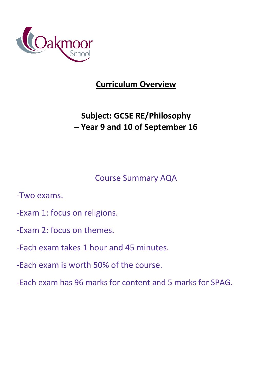

## **Curriculum Overview**

# **Subject: GCSE RE/Philosophy – Year 9 and 10 of September 16**

## Course Summary AQA

-Two exams.

- -Exam 1: focus on religions.
- -Exam 2: focus on themes.
- -Each exam takes 1 hour and 45 minutes.
- -Each exam is worth 50% of the course.
- -Each exam has 96 marks for content and 5 marks for SPAG.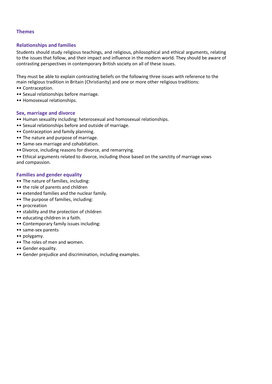#### **Themes**

#### **Relationships and families**

Students should study religious teachings, and religious, philosophical and ethical arguments, relating to the issues that follow, and their impact and influence in the modern world. They should be aware of contrasting perspectives in contemporary British society on all of these issues.

They must be able to explain contrasting beliefs on the following three issues with reference to the main religious tradition in Britain (Christianity) and one or more other religious traditions:

- •• Contraception.
- •• Sexual relationships before marriage.
- •• Homosexual relationships.

#### **Sex, marriage and divorce**

- •• Human sexuality including: heterosexual and homosexual relationships.
- •• Sexual relationships before and outside of marriage.
- •• Contraception and family planning.
- •• The nature and purpose of marriage.
- •• Same-sex marriage and cohabitation.
- •• Divorce, including reasons for divorce, and remarrying.
- •• Ethical arguments related to divorce, including those based on the sanctity of marriage vows and compassion.

#### **Families and gender equality**

- •• The nature of families, including:
- •• the role of parents and children
- •• extended families and the nuclear family.
- •• The purpose of families, including:
- •• procreation
- •• stability and the protection of children
- •• educating children in a faith.
- •• Contemporary family issues including:
- •• same-sex parents
- •• polygamy.
- •• The roles of men and women.
- •• Gender equality.
- •• Gender prejudice and discrimination, including examples.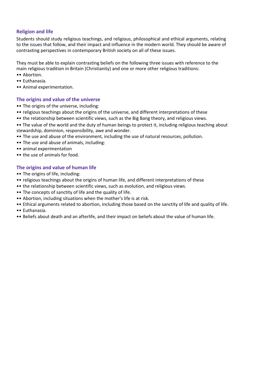## **Religion and life**

Students should study religious teachings, and religious, philosophical and ethical arguments, relating to the issues that follow, and their impact and influence in the modern world. They should be aware of contrasting perspectives in contemporary British society on all of these issues.

They must be able to explain contrasting beliefs on the following three issues with reference to the main religious tradition in Britain (Christianity) and one or more other religious traditions:

- •• Abortion.
- •• Euthanasia.
- •• Animal experimentation.

#### **The origins and value of the universe**

- •• The origins of the universe, including:
- •• religious teachings about the origins of the universe, and different interpretations of these
- •• the relationship between scientific views, such as the Big Bang theory, and religious views.
- •• The value of the world and the duty of human beings to protect it, including religious teaching about stewardship, dominion, responsibility, awe and wonder.
- •• The use and abuse of the environment, including the use of natural resources, pollution.
- •• The use and abuse of animals, including:
- •• animal experimentation
- •• the use of animals for food.

#### **The origins and value of human life**

- •• The origins of life, including:
- •• religious teachings about the origins of human life, and different interpretations of these
- •• the relationship between scientific views, such as evolution, and religious views.
- •• The concepts of sanctity of life and the quality of life.
- •• Abortion, including situations when the mother's life is at risk.
- •• Ethical arguments related to abortion, including those based on the sanctity of life and quality of life.
- •• Euthanasia.
- •• Beliefs about death and an afterlife, and their impact on beliefs about the value of human life.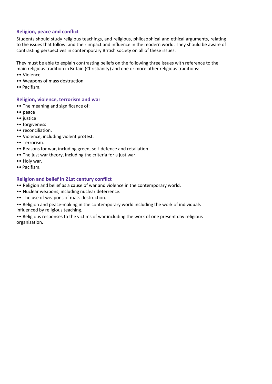### **Religion, peace and conflict**

Students should study religious teachings, and religious, philosophical and ethical arguments, relating to the issues that follow, and their impact and influence in the modern world. They should be aware of contrasting perspectives in contemporary British society on all of these issues.

They must be able to explain contrasting beliefs on the following three issues with reference to the main religious tradition in Britain (Christianity) and one or more other religious traditions:

- •• Violence.
- •• Weapons of mass destruction.
- •• Pacifism.

### **Religion, violence, terrorism and war**

- •• The meaning and significance of:
- •• peace
- •• justice
- •• forgiveness
- •• reconciliation.
- •• Violence, including violent protest.
- •• Terrorism.
- •• Reasons for war, including greed, self-defence and retaliation.
- •• The just war theory, including the criteria for a just war.
- •• Holy war.
- •• Pacifism.

### **Religion and belief in 21st century conflict**

- •• Religion and belief as a cause of war and violence in the contemporary world.
- •• Nuclear weapons, including nuclear deterrence.
- •• The use of weapons of mass destruction.
- •• Religion and peace-making in the contemporary world including the work of individuals influenced by religious teaching.
- •• Religious responses to the victims of war including the work of one present day religious organisation.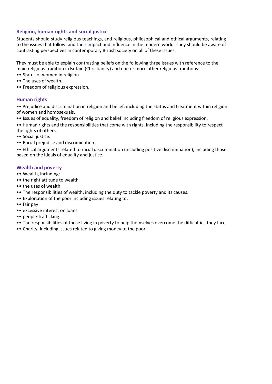## **Religion, human rights and social justice**

Students should study religious teachings, and religious, philosophical and ethical arguments, relating to the issues that follow, and their impact and influence in the modern world. They should be aware of contrasting perspectives in contemporary British society on all of these issues.

They must be able to explain contrasting beliefs on the following three issues with reference to the main religious tradition in Britain (Christianity) and one or more other religious traditions:

- •• Status of women in religion.
- •• The uses of wealth.
- •• Freedom of religious expression.

#### **Human rights**

•• Prejudice and discrimination in religion and belief, including the status and treatment within religion of women and homosexuals.

•• Issues of equality, freedom of religion and belief including freedom of religious expression.

•• Human rights and the responsibilities that come with rights, including the responsibility to respect the rights of others.

- •• Social justice.
- •• Racial prejudice and discrimination.

•• Ethical arguments related to racial discrimination (including positive discrimination), including those based on the ideals of equality and justice.

#### **Wealth and poverty**

- •• Wealth, including:
- •• the right attitude to wealth
- •• the uses of wealth.
- •• The responsibilities of wealth, including the duty to tackle poverty and its causes.
- •• Exploitation of the poor including issues relating to:
- •• fair pay
- •• excessive interest on loans
- •• people-trafficking.
- •• The responsibilities of those living in poverty to help themselves overcome the difficulties they face.
- •• Charity, including issues related to giving money to the poor.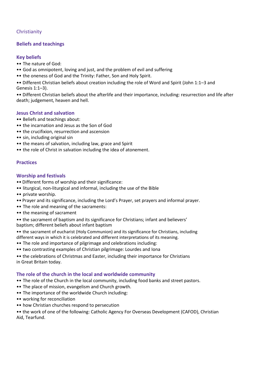## **Christianity**

## **Beliefs and teachings**

#### **Key beliefs**

- •• The nature of God:
- •• God as omnipotent, loving and just, and the problem of evil and suffering
- •• the oneness of God and the Trinity: Father, Son and Holy Spirit.
- •• Different Christian beliefs about creation including the role of Word and Spirit (John 1:1–3 and Genesis 1:1–3).

•• Different Christian beliefs about the afterlife and their importance, including: resurrection and life after death; judgement, heaven and hell.

#### **Jesus Christ and salvation**

- •• Beliefs and teachings about:
- •• the incarnation and Jesus as the Son of God
- •• the crucifixion, resurrection and ascension
- •• sin, including original sin
- •• the means of salvation, including law, grace and Spirit
- •• the role of Christ in salvation including the idea of atonement.

#### **Practices**

#### **Worship and festivals**

- •• Different forms of worship and their significance:
- •• liturgical, non-liturgical and informal, including the use of the Bible
- •• private worship.
- •• Prayer and its significance, including the Lord's Prayer, set prayers and informal prayer.
- •• The role and meaning of the sacraments:
- •• the meaning of sacrament
- •• the sacrament of baptism and its significance for Christians; infant and believers' baptism; different beliefs about infant baptism
- •• the sacrament of eucharist (Holy Communion) and its significance for Christians, including different ways in which it is celebrated and different interpretations of its meaning.
- •• The role and importance of pilgrimage and celebrations including:
- •• two contrasting examples of Christian pilgrimage: Lourdes and Iona
- •• the celebrations of Christmas and Easter, including their importance for Christians in Great Britain today.

### **The role of the church in the local and worldwide community**

- •• The role of the Church in the local community, including food banks and street pastors.
- •• The place of mission, evangelism and Church growth.
- •• The importance of the worldwide Church including:
- •• working for reconciliation
- •• how Christian churches respond to persecution

•• the work of one of the following: Catholic Agency For Overseas Development (CAFOD), Christian Aid, Tearfund.